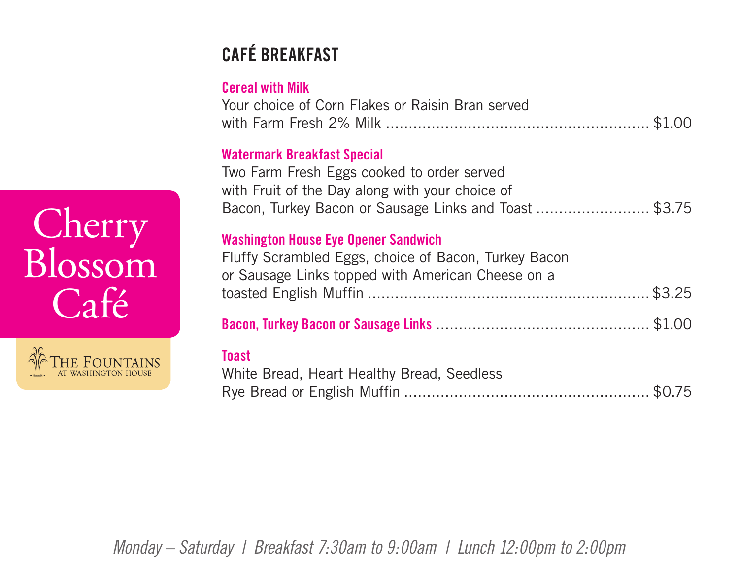## **CAFÉ BREAKFAST**

#### **Cereal with Milk**

| Your choice of Corn Flakes or Raisin Bran served |  |
|--------------------------------------------------|--|
|                                                  |  |

#### **Watermark Breakfast Special**

Two Farm Fresh Eggs cooked to order served with Fruit of the Day along with your choice of Bacon, Turkey Bacon or Sausage Links and Toast ........................... \$3.75

#### **Washington House Eye Opener Sandwich**

| Fluffy Scrambled Eggs, choice of Bacon, Turkey Bacon |  |
|------------------------------------------------------|--|
| or Sausage Links topped with American Cheese on a    |  |
|                                                      |  |

|--|--|

#### **Toast**

| White Bread, Heart Healthy Bread, Seedless |  |
|--------------------------------------------|--|
|                                            |  |

*Monday – Saturday | Breakfast 7:30am to 9:00am | Lunch 12:00pm to 2:00pm*

# Cherry Blossom Café

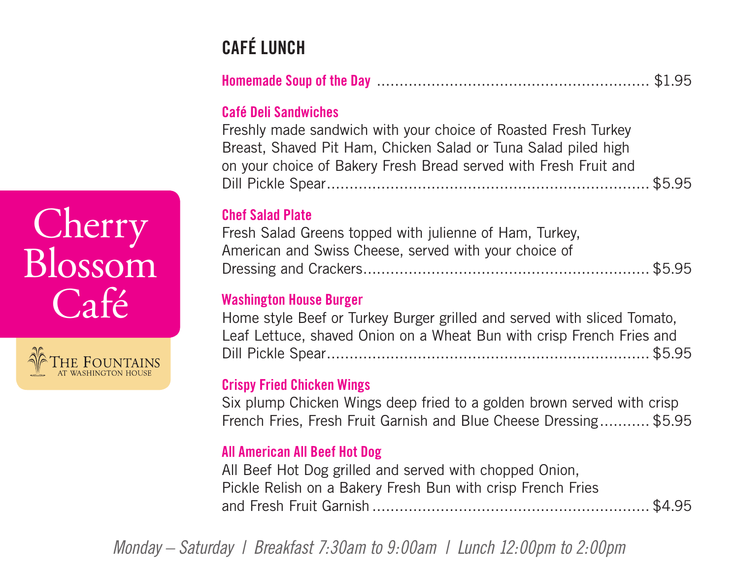## **CAFÉ LUNCH**

|--|--|

#### **Café Deli Sandwiches**

Freshly made sandwich with your choice of Roasted Fresh Turkey Breast, Shaved Pit Ham, Chicken Salad or Tuna Salad piled high on your choice of Bakery Fresh Bread served with Fresh Fruit and Dill Pickle Spear....................................................................... \$5.95

#### **Chef Salad Plate**

Fresh Salad Greens topped with julienne of Ham, Turkey, American and Swiss Cheese, served with your choice of Dressing and Crackers............................................................... \$5.95

#### **Washington House Burger**

Home style Beef or Turkey Burger grilled and served with sliced Tomato, Leaf Lettuce, shaved Onion on a Wheat Bun with crisp French Fries and Dill Pickle Spear....................................................................... \$5.95

#### **Crispy Fried Chicken Wings**

Six plump Chicken Wings deep fried to a golden brown served with crisp French Fries, Fresh Fruit Garnish and Blue Cheese Dressing........... \$5.95

#### **All American All Beef Hot Dog**

All Beef Hot Dog grilled and served with chopped Onion, Pickle Relish on a Bakery Fresh Bun with crisp French Fries and Fresh Fruit Garnish ............................................................. \$4.95

*Monday – Saturday | Breakfast 7:30am to 9:00am | Lunch 12:00pm to 2:00pm*

## Cherry Blossom  $\Gamma$ afé